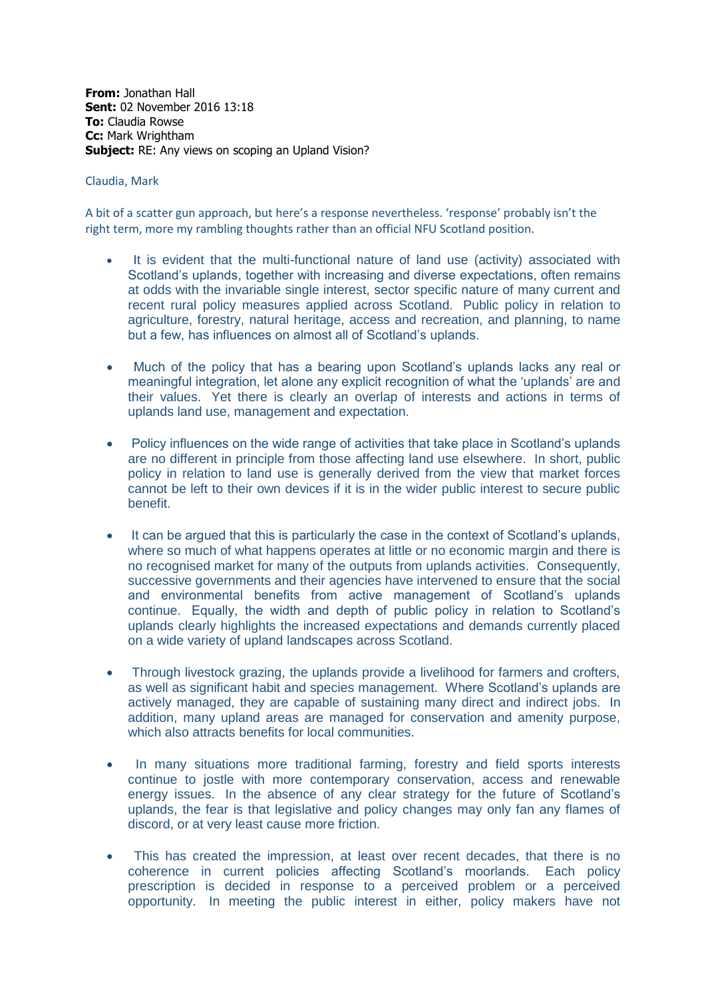**From:** Jonathan Hall **Sent:** 02 November 2016 13:18 **To:** Claudia Rowse **Cc:** Mark Wrightham **Subject:** RE: Any views on scoping an Upland Vision?

## Claudia, Mark

A bit of a scatter gun approach, but here's a response nevertheless. 'response' probably isn't the right term, more my rambling thoughts rather than an official NFU Scotland position.

- It is evident that the multi-functional nature of land use (activity) associated with Scotland's uplands, together with increasing and diverse expectations, often remains at odds with the invariable single interest, sector specific nature of many current and recent rural policy measures applied across Scotland. Public policy in relation to agriculture, forestry, natural heritage, access and recreation, and planning, to name but a few, has influences on almost all of Scotland's uplands.
- Much of the policy that has a bearing upon Scotland's uplands lacks any real or meaningful integration, let alone any explicit recognition of what the 'uplands' are and their values. Yet there is clearly an overlap of interests and actions in terms of uplands land use, management and expectation.
- Policy influences on the wide range of activities that take place in Scotland's uplands are no different in principle from those affecting land use elsewhere. In short, public policy in relation to land use is generally derived from the view that market forces cannot be left to their own devices if it is in the wider public interest to secure public benefit.
- It can be argued that this is particularly the case in the context of Scotland's uplands, where so much of what happens operates at little or no economic margin and there is no recognised market for many of the outputs from uplands activities. Consequently, successive governments and their agencies have intervened to ensure that the social and environmental benefits from active management of Scotland's uplands continue. Equally, the width and depth of public policy in relation to Scotland's uplands clearly highlights the increased expectations and demands currently placed on a wide variety of upland landscapes across Scotland.
- Through livestock grazing, the uplands provide a livelihood for farmers and crofters, as well as significant habit and species management. Where Scotland's uplands are actively managed, they are capable of sustaining many direct and indirect jobs. In addition, many upland areas are managed for conservation and amenity purpose, which also attracts benefits for local communities.
- In many situations more traditional farming, forestry and field sports interests continue to jostle with more contemporary conservation, access and renewable energy issues. In the absence of any clear strategy for the future of Scotland's uplands, the fear is that legislative and policy changes may only fan any flames of discord, or at very least cause more friction.
- This has created the impression, at least over recent decades, that there is no coherence in current policies affecting Scotland's moorlands. Each policy prescription is decided in response to a perceived problem or a perceived opportunity. In meeting the public interest in either, policy makers have not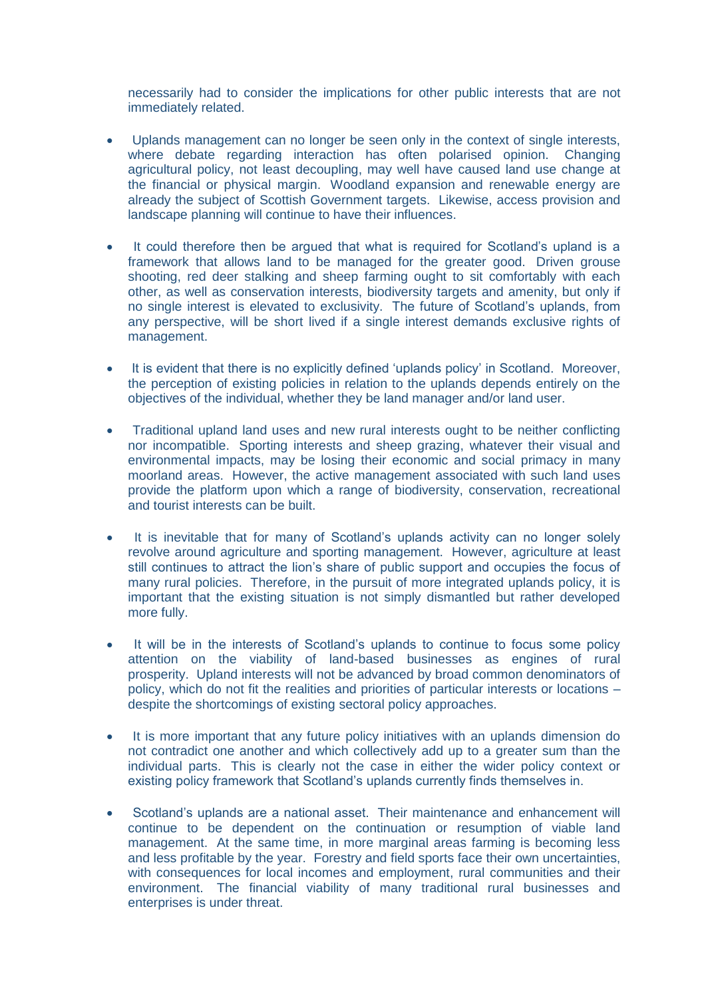necessarily had to consider the implications for other public interests that are not immediately related.

- Uplands management can no longer be seen only in the context of single interests, where debate regarding interaction has often polarised opinion. Changing agricultural policy, not least decoupling, may well have caused land use change at the financial or physical margin. Woodland expansion and renewable energy are already the subject of Scottish Government targets. Likewise, access provision and landscape planning will continue to have their influences.
- It could therefore then be argued that what is required for Scotland's upland is a framework that allows land to be managed for the greater good. Driven grouse shooting, red deer stalking and sheep farming ought to sit comfortably with each other, as well as conservation interests, biodiversity targets and amenity, but only if no single interest is elevated to exclusivity. The future of Scotland's uplands, from any perspective, will be short lived if a single interest demands exclusive rights of management.
- It is evident that there is no explicitly defined 'uplands policy' in Scotland. Moreover, the perception of existing policies in relation to the uplands depends entirely on the objectives of the individual, whether they be land manager and/or land user.
- Traditional upland land uses and new rural interests ought to be neither conflicting nor incompatible. Sporting interests and sheep grazing, whatever their visual and environmental impacts, may be losing their economic and social primacy in many moorland areas. However, the active management associated with such land uses provide the platform upon which a range of biodiversity, conservation, recreational and tourist interests can be built.
- It is inevitable that for many of Scotland's uplands activity can no longer solely revolve around agriculture and sporting management. However, agriculture at least still continues to attract the lion's share of public support and occupies the focus of many rural policies. Therefore, in the pursuit of more integrated uplands policy, it is important that the existing situation is not simply dismantled but rather developed more fully.
- It will be in the interests of Scotland's uplands to continue to focus some policy attention on the viability of land-based businesses as engines of rural prosperity. Upland interests will not be advanced by broad common denominators of policy, which do not fit the realities and priorities of particular interests or locations – despite the shortcomings of existing sectoral policy approaches.
- It is more important that any future policy initiatives with an uplands dimension do not contradict one another and which collectively add up to a greater sum than the individual parts. This is clearly not the case in either the wider policy context or existing policy framework that Scotland's uplands currently finds themselves in.
- Scotland's uplands are a national asset. Their maintenance and enhancement will continue to be dependent on the continuation or resumption of viable land management. At the same time, in more marginal areas farming is becoming less and less profitable by the year. Forestry and field sports face their own uncertainties, with consequences for local incomes and employment, rural communities and their environment. The financial viability of many traditional rural businesses and enterprises is under threat.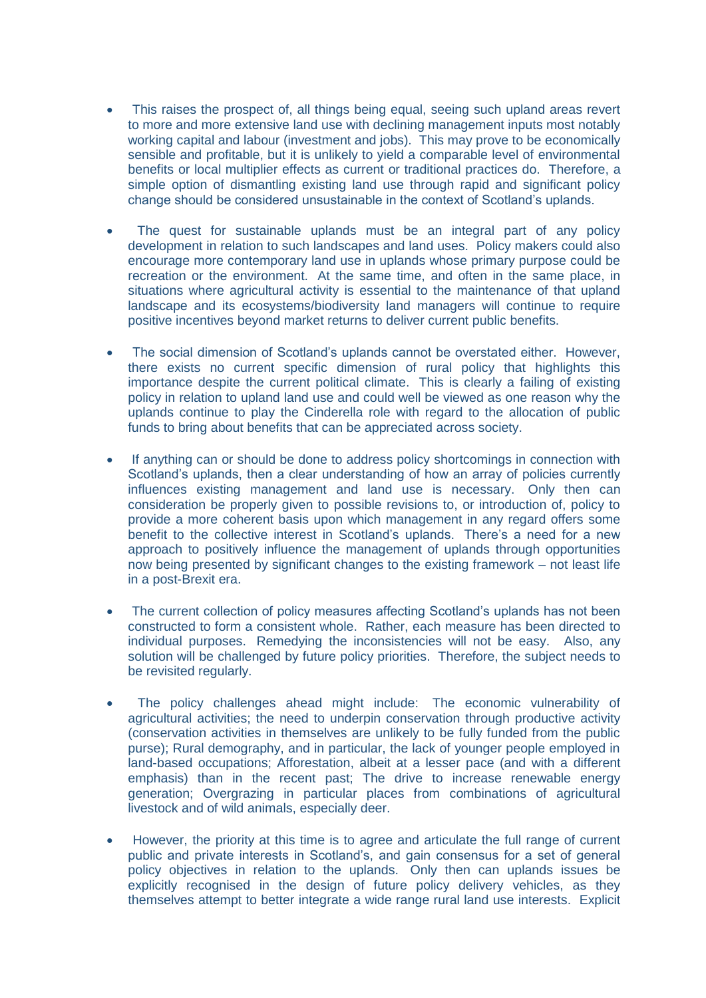- This raises the prospect of, all things being equal, seeing such upland areas revert to more and more extensive land use with declining management inputs most notably working capital and labour (investment and jobs). This may prove to be economically sensible and profitable, but it is unlikely to yield a comparable level of environmental benefits or local multiplier effects as current or traditional practices do. Therefore, a simple option of dismantling existing land use through rapid and significant policy change should be considered unsustainable in the context of Scotland's uplands.
- The quest for sustainable uplands must be an integral part of any policy development in relation to such landscapes and land uses. Policy makers could also encourage more contemporary land use in uplands whose primary purpose could be recreation or the environment. At the same time, and often in the same place, in situations where agricultural activity is essential to the maintenance of that upland landscape and its ecosystems/biodiversity land managers will continue to require positive incentives beyond market returns to deliver current public benefits.
- The social dimension of Scotland's uplands cannot be overstated either. However, there exists no current specific dimension of rural policy that highlights this importance despite the current political climate. This is clearly a failing of existing policy in relation to upland land use and could well be viewed as one reason why the uplands continue to play the Cinderella role with regard to the allocation of public funds to bring about benefits that can be appreciated across society.
- If anything can or should be done to address policy shortcomings in connection with Scotland's uplands, then a clear understanding of how an array of policies currently influences existing management and land use is necessary. Only then can consideration be properly given to possible revisions to, or introduction of, policy to provide a more coherent basis upon which management in any regard offers some benefit to the collective interest in Scotland's uplands. There's a need for a new approach to positively influence the management of uplands through opportunities now being presented by significant changes to the existing framework – not least life in a post-Brexit era.
- The current collection of policy measures affecting Scotland's uplands has not been constructed to form a consistent whole. Rather, each measure has been directed to individual purposes. Remedying the inconsistencies will not be easy. Also, any solution will be challenged by future policy priorities. Therefore, the subject needs to be revisited regularly.
- The policy challenges ahead might include: The economic vulnerability of agricultural activities; the need to underpin conservation through productive activity (conservation activities in themselves are unlikely to be fully funded from the public purse); Rural demography, and in particular, the lack of younger people employed in land-based occupations; Afforestation, albeit at a lesser pace (and with a different emphasis) than in the recent past; The drive to increase renewable energy generation; Overgrazing in particular places from combinations of agricultural livestock and of wild animals, especially deer.
- However, the priority at this time is to agree and articulate the full range of current public and private interests in Scotland's, and gain consensus for a set of general policy objectives in relation to the uplands. Only then can uplands issues be explicitly recognised in the design of future policy delivery vehicles, as they themselves attempt to better integrate a wide range rural land use interests. Explicit